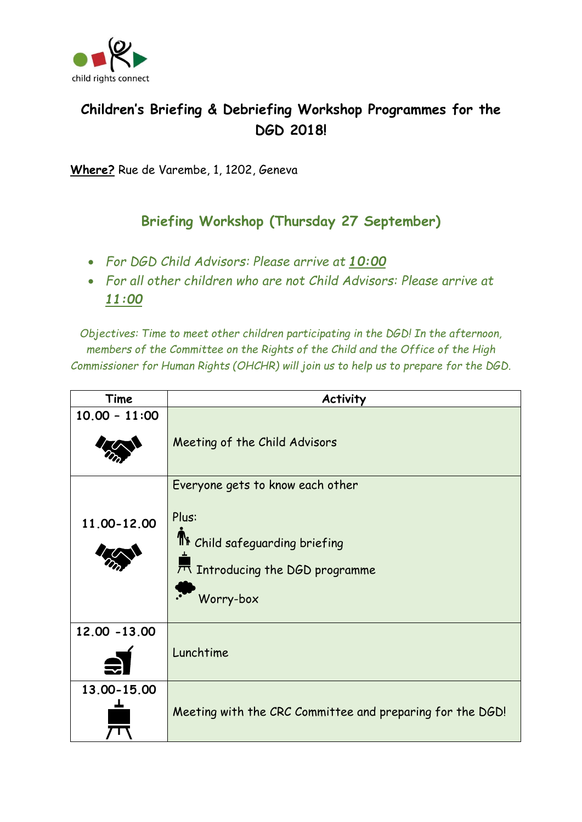

## **Children's Briefing & Debriefing Workshop Programmes for the DGD 2018!**

**Where?** Rue de Varembe, 1, 1202, Geneva

## **Briefing Workshop (Thursday 27 September)**

- *For DGD Child Advisors: Please arrive at 10:00*
- *For all other children who are not Child Advisors: Please arrive at 11:00*

*Objectives: Time to meet other children participating in the DGD! In the afternoon, members of the Committee on the Rights of the Child and the Office of the High Commissioner for Human Rights (OHCHR) will join us to help us to prepare for the DGD.* 

| Time            | <b>Activity</b>                                                                                                              |
|-----------------|------------------------------------------------------------------------------------------------------------------------------|
| $10.00 - 11:00$ | Meeting of the Child Advisors                                                                                                |
| 11.00-12.00     | Everyone gets to know each other<br>Plus:<br>The Child safeguarding briefing<br>7 Introducing the DGD programme<br>Worry-box |
| 12.00 - 13.00   | Lunchtime                                                                                                                    |
| 13.00-15.00     | Meeting with the CRC Committee and preparing for the DGD!                                                                    |